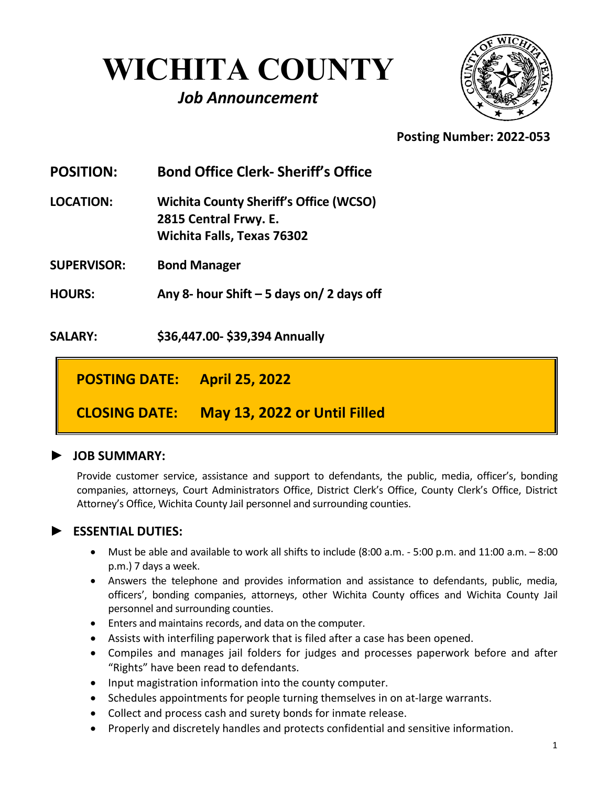# **WICHITA COUNTY**

## *Job Announcement*



 **Posting Number: 2022-053**

**POSITION: Bond Office Clerk- Sheriff's Office LOCATION: Wichita County Sheriff's Office (WCSO) 2815 Central Frwy. E. Wichita Falls, Texas 76302** 

**SUPERVISOR: Bond Manager**

**HOURS: Any 8- hour Shift – 5 days on/ 2 days off**

**SALARY: \$36,447.00- \$39,394 Annually**

**POSTING DATE: April 25, 2022** 

**CLOSING DATE: May 13, 2022 or Until Filled**

### **► JOB SUMMARY:**

Provide customer service, assistance and support to defendants, the public, media, officer's, bonding companies, attorneys, Court Administrators Office, District Clerk's Office, County Clerk's Office, District Attorney's Office, Wichita County Jail personnel and surrounding counties.

### **► ESSENTIAL DUTIES:**

- Must be able and available to work all shifts to include (8:00 a.m. 5:00 p.m. and 11:00 a.m. 8:00 p.m.) 7 days a week.
- Answers the telephone and provides information and assistance to defendants, public, media, officers', bonding companies, attorneys, other Wichita County offices and Wichita County Jail personnel and surrounding counties.
- Enters and maintains records, and data on the computer.
- Assists with interfiling paperwork that is filed after a case has been opened.
- Compiles and manages jail folders for judges and processes paperwork before and after "Rights" have been read to defendants.
- Input magistration information into the county computer.
- Schedules appointments for people turning themselves in on at-large warrants.
- Collect and process cash and surety bonds for inmate release.
- Properly and discretely handles and protects confidential and sensitive information.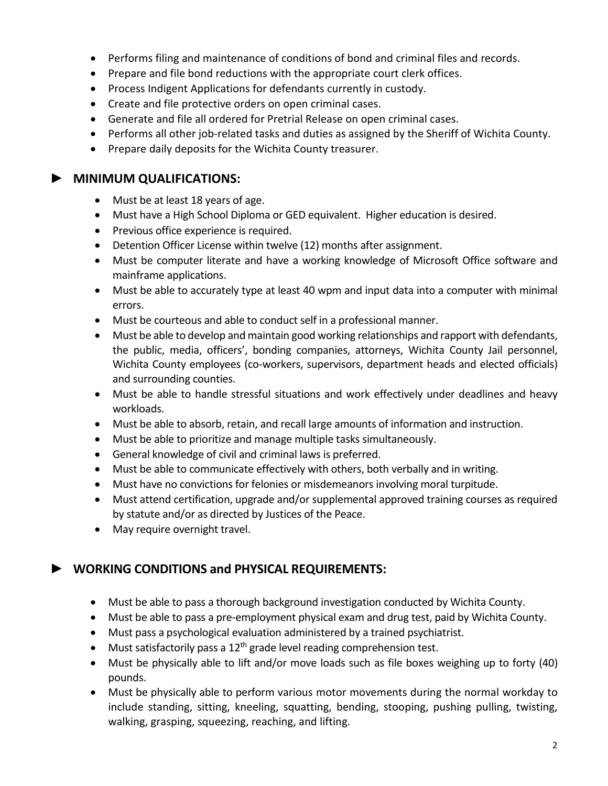- Performs filing and maintenance of conditions of bond and criminal files and records.
- Prepare and file bond reductions with the appropriate court clerk offices.
- Process Indigent Applications for defendants currently in custody.
- Create and file protective orders on open criminal cases.
- Generate and file all ordered for Pretrial Release on open criminal cases.
- Performs all other job-related tasks and duties as assigned by the Sheriff of Wichita County.
- Prepare daily deposits for the Wichita County treasurer.

#### **► MINIMUM QUALIFICATIONS:**

- Must be at least 18 years of age.
- Must have a High School Diploma or GED equivalent. Higher education is desired.
- Previous office experience is required.
- Detention Officer License within twelve (12) months after assignment.
- Must be computer literate and have a working knowledge of Microsoft Office software and mainframe applications.
- Must be able to accurately type at least 40 wpm and input data into a computer with minimal errors.
- Must be courteous and able to conduct self in a professional manner.
- Must be able to develop and maintain good working relationships and rapport with defendants, the public, media, officers', bonding companies, attorneys, Wichita County Jail personnel, Wichita County employees (co-workers, supervisors, department heads and elected officials) and surrounding counties.
- Must be able to handle stressful situations and work effectively under deadlines and heavy workloads.
- Must be able to absorb, retain, and recall large amounts of information and instruction.
- Must be able to prioritize and manage multiple tasks simultaneously.
- General knowledge of civil and criminal laws is preferred.
- Must be able to communicate effectively with others, both verbally and in writing.
- Must have no convictions for felonies or misdemeanors involving moral turpitude.
- Must attend certification, upgrade and/or supplemental approved training courses as required by statute and/or as directed by Justices of the Peace.
- May require overnight travel.

### **► WORKING CONDITIONS and PHYSICAL REQUIREMENTS:**

- Must be able to pass a thorough background investigation conducted by Wichita County.
- Must be able to pass a pre-employment physical exam and drug test, paid by Wichita County.
- Must pass a psychological evaluation administered by a trained psychiatrist.
- Must satisfactorily pass a  $12<sup>th</sup>$  grade level reading comprehension test.
- Must be physically able to lift and/or move loads such as file boxes weighing up to forty (40) pounds.
- Must be physically able to perform various motor movements during the normal workday to include standing, sitting, kneeling, squatting, bending, stooping, pushing pulling, twisting, walking, grasping, squeezing, reaching, and lifting.